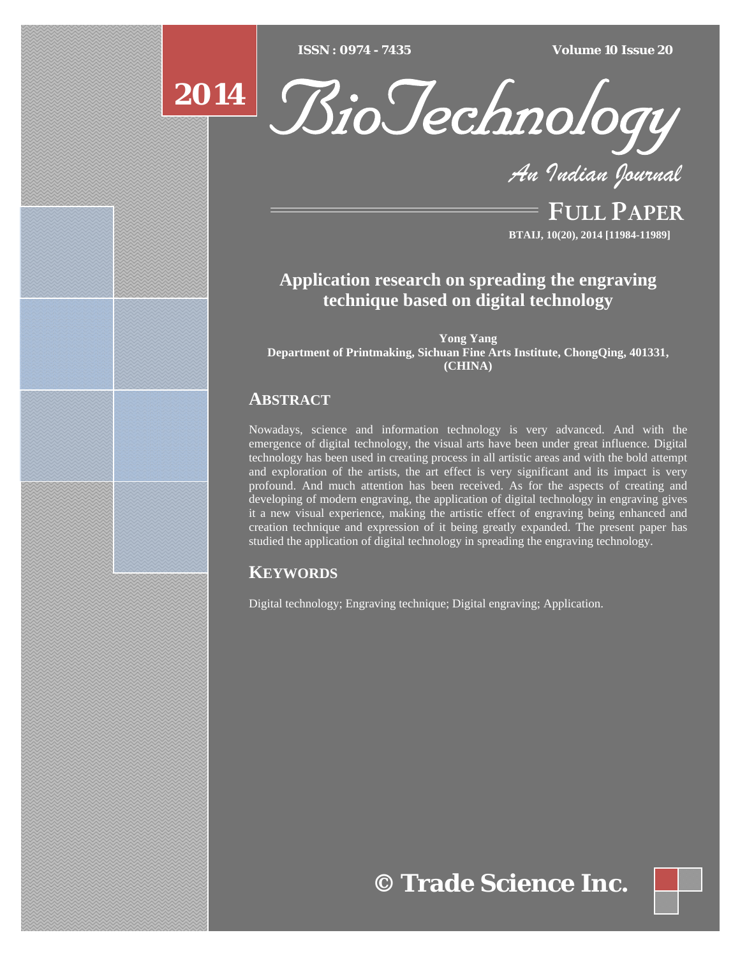$\overline{ISSN} : 0974 - 7435$ 

*ISSN : 0974 - 7435 Volume 10 Issue 20*





*An Indian Journal*

FULL PAPER **BTAIJ, 10(20), 2014 [11984-11989]**

# **Application research on spreading the engraving technique based on digital technology**

**Yong Yang Department of Printmaking, Sichuan Fine Arts Institute, ChongQing, 401331, (CHINA)**

# **ABSTRACT**

Nowadays, science and information technology is very advanced. And with the emergence of digital technology, the visual arts have been under great influence. Digital technology has been used in creating process in all artistic areas and with the bold attempt and exploration of the artists, the art effect is very significant and its impact is very profound. And much attention has been received. As for the aspects of creating and developing of modern engraving, the application of digital technology in engraving gives it a new visual experience, making the artistic effect of engraving being enhanced and creation technique and expression of it being greatly expanded. The present paper has studied the application of digital technology in spreading the engraving technology.

# **KEYWORDS**

Digital technology; Engraving technique; Digital engraving; Application.

**© Trade Science Inc.**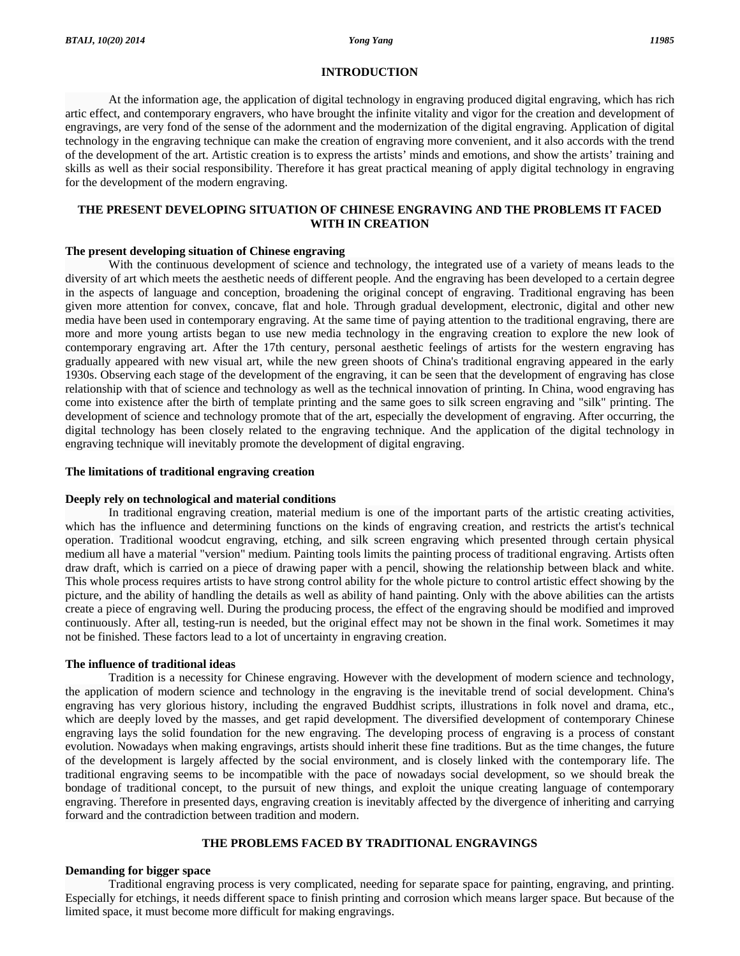### **INTRODUCTION**

 At the information age, the application of digital technology in engraving produced digital engraving, which has rich artic effect, and contemporary engravers, who have brought the infinite vitality and vigor for the creation and development of engravings, are very fond of the sense of the adornment and the modernization of the digital engraving. Application of digital technology in the engraving technique can make the creation of engraving more convenient, and it also accords with the trend of the development of the art. Artistic creation is to express the artists' minds and emotions, and show the artists' training and skills as well as their social responsibility. Therefore it has great practical meaning of apply digital technology in engraving for the development of the modern engraving.

# **THE PRESENT DEVELOPING SITUATION OF CHINESE ENGRAVING AND THE PROBLEMS IT FACED WITH IN CREATION**

#### **The present developing situation of Chinese engraving**

 With the continuous development of science and technology, the integrated use of a variety of means leads to the diversity of art which meets the aesthetic needs of different people. And the engraving has been developed to a certain degree in the aspects of language and conception, broadening the original concept of engraving. Traditional engraving has been given more attention for convex, concave, flat and hole. Through gradual development, electronic, digital and other new media have been used in contemporary engraving. At the same time of paying attention to the traditional engraving, there are more and more young artists began to use new media technology in the engraving creation to explore the new look of contemporary engraving art. After the 17th century, personal aesthetic feelings of artists for the western engraving has gradually appeared with new visual art, while the new green shoots of China's traditional engraving appeared in the early 1930s. Observing each stage of the development of the engraving, it can be seen that the development of engraving has close relationship with that of science and technology as well as the technical innovation of printing. In China, wood engraving has come into existence after the birth of template printing and the same goes to silk screen engraving and "silk" printing. The development of science and technology promote that of the art, especially the development of engraving. After occurring, the digital technology has been closely related to the engraving technique. And the application of the digital technology in engraving technique will inevitably promote the development of digital engraving.

#### **The limitations of traditional engraving creation**

#### **Deeply rely on technological and material conditions**

 In traditional engraving creation, material medium is one of the important parts of the artistic creating activities, which has the influence and determining functions on the kinds of engraving creation, and restricts the artist's technical operation. Traditional woodcut engraving, etching, and silk screen engraving which presented through certain physical medium all have a material "version" medium. Painting tools limits the painting process of traditional engraving. Artists often draw draft, which is carried on a piece of drawing paper with a pencil, showing the relationship between black and white. This whole process requires artists to have strong control ability for the whole picture to control artistic effect showing by the picture, and the ability of handling the details as well as ability of hand painting. Only with the above abilities can the artists create a piece of engraving well. During the producing process, the effect of the engraving should be modified and improved continuously. After all, testing-run is needed, but the original effect may not be shown in the final work. Sometimes it may not be finished. These factors lead to a lot of uncertainty in engraving creation.

## **The influence of traditional ideas**

 Tradition is a necessity for Chinese engraving. However with the development of modern science and technology, the application of modern science and technology in the engraving is the inevitable trend of social development. China's engraving has very glorious history, including the engraved Buddhist scripts, illustrations in folk novel and drama, etc., which are deeply loved by the masses, and get rapid development. The diversified development of contemporary Chinese engraving lays the solid foundation for the new engraving. The developing process of engraving is a process of constant evolution. Nowadays when making engravings, artists should inherit these fine traditions. But as the time changes, the future of the development is largely affected by the social environment, and is closely linked with the contemporary life. The traditional engraving seems to be incompatible with the pace of nowadays social development, so we should break the bondage of traditional concept, to the pursuit of new things, and exploit the unique creating language of contemporary engraving. Therefore in presented days, engraving creation is inevitably affected by the divergence of inheriting and carrying forward and the contradiction between tradition and modern.

# **THE PROBLEMS FACED BY TRADITIONAL ENGRAVINGS**

## **Demanding for bigger space**

 Traditional engraving process is very complicated, needing for separate space for painting, engraving, and printing. Especially for etchings, it needs different space to finish printing and corrosion which means larger space. But because of the limited space, it must become more difficult for making engravings.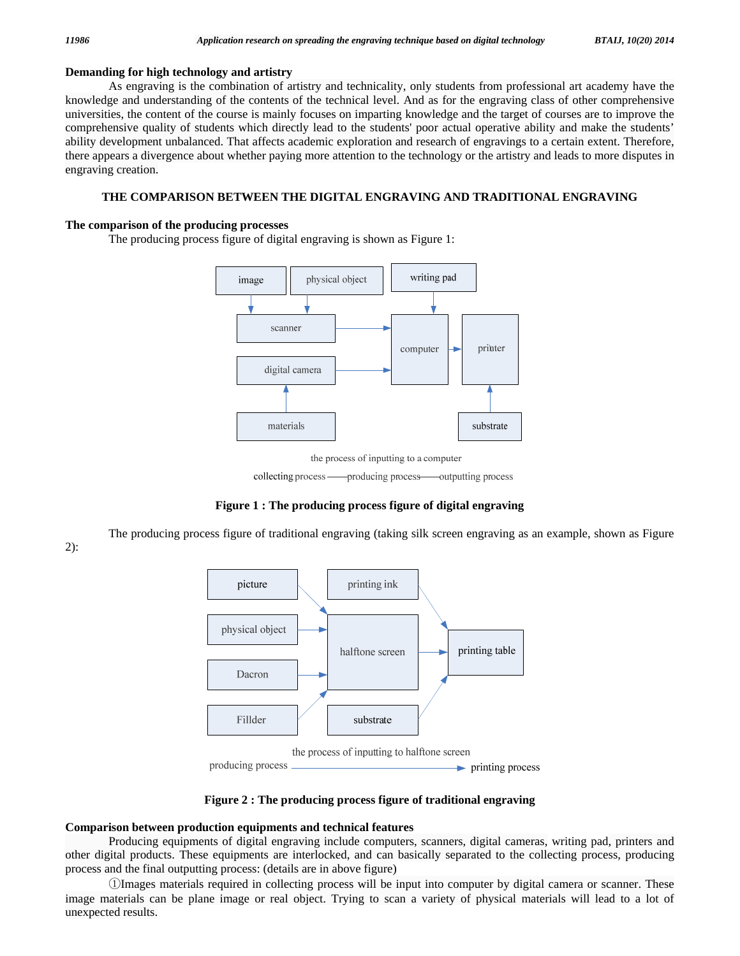### **Demanding for high technology and artistry**

 As engraving is the combination of artistry and technicality, only students from professional art academy have the knowledge and understanding of the contents of the technical level. And as for the engraving class of other comprehensive universities, the content of the course is mainly focuses on imparting knowledge and the target of courses are to improve the comprehensive quality of students which directly lead to the students' poor actual operative ability and make the students' ability development unbalanced. That affects academic exploration and research of engravings to a certain extent. Therefore, there appears a divergence about whether paying more attention to the technology or the artistry and leads to more disputes in engraving creation.

### **THE COMPARISON BETWEEN THE DIGITAL ENGRAVING AND TRADITIONAL ENGRAVING**

#### **The comparison of the producing processes**

The producing process figure of digital engraving is shown as Figure 1:



the process of inputting to a computer

collecting process-producing process-outputting process

**Figure 1 : The producing process figure of digital engraving** 

The producing process figure of traditional engraving (taking silk screen engraving as an example, shown as Figure

2):



**Figure 2 : The producing process figure of traditional engraving** 

## **Comparison between production equipments and technical features**

 Producing equipments of digital engraving include computers, scanners, digital cameras, writing pad, printers and other digital products. These equipments are interlocked, and can basically separated to the collecting process, producing process and the final outputting process: (details are in above figure)

①Images materials required in collecting process will be input into computer by digital camera or scanner. These image materials can be plane image or real object. Trying to scan a variety of physical materials will lead to a lot of unexpected results.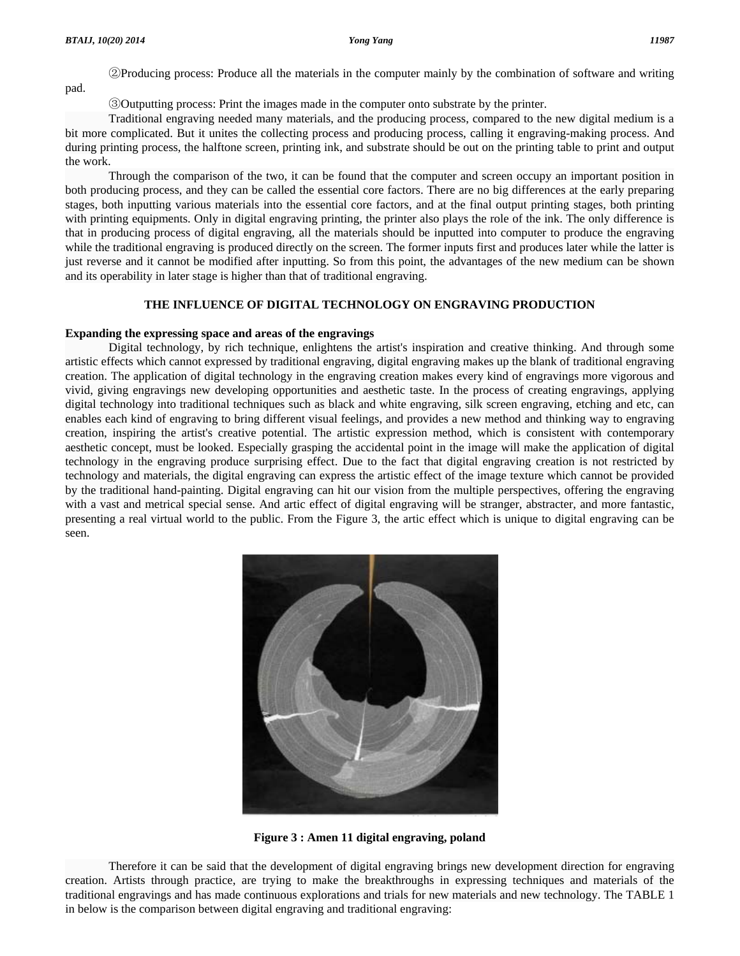②Producing process: Produce all the materials in the computer mainly by the combination of software and writing

pad.

③Outputting process: Print the images made in the computer onto substrate by the printer.

 Traditional engraving needed many materials, and the producing process, compared to the new digital medium is a bit more complicated. But it unites the collecting process and producing process, calling it engraving-making process. And during printing process, the halftone screen, printing ink, and substrate should be out on the printing table to print and output the work.

 Through the comparison of the two, it can be found that the computer and screen occupy an important position in both producing process, and they can be called the essential core factors. There are no big differences at the early preparing stages, both inputting various materials into the essential core factors, and at the final output printing stages, both printing with printing equipments. Only in digital engraving printing, the printer also plays the role of the ink. The only difference is that in producing process of digital engraving, all the materials should be inputted into computer to produce the engraving while the traditional engraving is produced directly on the screen. The former inputs first and produces later while the latter is just reverse and it cannot be modified after inputting. So from this point, the advantages of the new medium can be shown and its operability in later stage is higher than that of traditional engraving.

# **THE INFLUENCE OF DIGITAL TECHNOLOGY ON ENGRAVING PRODUCTION**

### **Expanding the expressing space and areas of the engravings**

 Digital technology, by rich technique, enlightens the artist's inspiration and creative thinking. And through some artistic effects which cannot expressed by traditional engraving, digital engraving makes up the blank of traditional engraving creation. The application of digital technology in the engraving creation makes every kind of engravings more vigorous and vivid, giving engravings new developing opportunities and aesthetic taste. In the process of creating engravings, applying digital technology into traditional techniques such as black and white engraving, silk screen engraving, etching and etc, can enables each kind of engraving to bring different visual feelings, and provides a new method and thinking way to engraving creation, inspiring the artist's creative potential. The artistic expression method, which is consistent with contemporary aesthetic concept, must be looked. Especially grasping the accidental point in the image will make the application of digital technology in the engraving produce surprising effect. Due to the fact that digital engraving creation is not restricted by technology and materials, the digital engraving can express the artistic effect of the image texture which cannot be provided by the traditional hand-painting. Digital engraving can hit our vision from the multiple perspectives, offering the engraving with a vast and metrical special sense. And artic effect of digital engraving will be stranger, abstracter, and more fantastic, presenting a real virtual world to the public. From the Figure 3, the artic effect which is unique to digital engraving can be seen.



**Figure 3 : Amen 11 digital engraving, poland** 

 Therefore it can be said that the development of digital engraving brings new development direction for engraving creation. Artists through practice, are trying to make the breakthroughs in expressing techniques and materials of the traditional engravings and has made continuous explorations and trials for new materials and new technology. The TABLE 1 in below is the comparison between digital engraving and traditional engraving: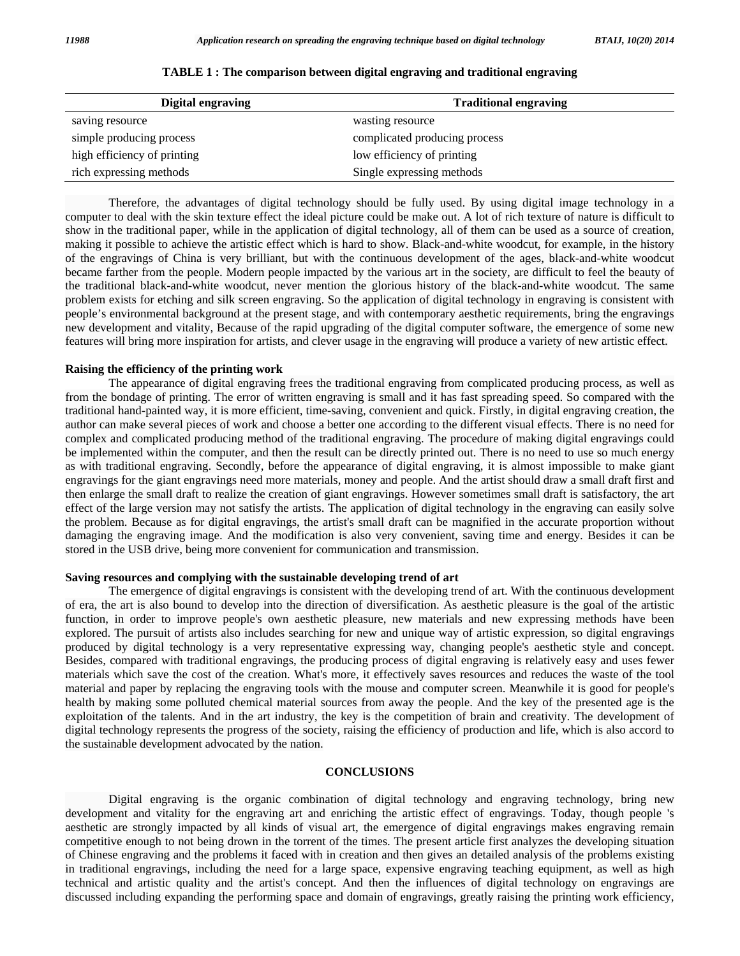| <b>Digital engraving</b>    | <b>Traditional engraving</b>  |
|-----------------------------|-------------------------------|
| saving resource             | wasting resource              |
| simple producing process    | complicated producing process |
| high efficiency of printing | low efficiency of printing    |
| rich expressing methods     | Single expressing methods     |

#### **TABLE 1 : The comparison between digital engraving and traditional engraving**

 Therefore, the advantages of digital technology should be fully used. By using digital image technology in a computer to deal with the skin texture effect the ideal picture could be make out. A lot of rich texture of nature is difficult to show in the traditional paper, while in the application of digital technology, all of them can be used as a source of creation, making it possible to achieve the artistic effect which is hard to show. Black-and-white woodcut, for example, in the history of the engravings of China is very brilliant, but with the continuous development of the ages, black-and-white woodcut became farther from the people. Modern people impacted by the various art in the society, are difficult to feel the beauty of the traditional black-and-white woodcut, never mention the glorious history of the black-and-white woodcut. The same problem exists for etching and silk screen engraving. So the application of digital technology in engraving is consistent with people's environmental background at the present stage, and with contemporary aesthetic requirements, bring the engravings new development and vitality, Because of the rapid upgrading of the digital computer software, the emergence of some new features will bring more inspiration for artists, and clever usage in the engraving will produce a variety of new artistic effect.

#### **Raising the efficiency of the printing work**

 The appearance of digital engraving frees the traditional engraving from complicated producing process, as well as from the bondage of printing. The error of written engraving is small and it has fast spreading speed. So compared with the traditional hand-painted way, it is more efficient, time-saving, convenient and quick. Firstly, in digital engraving creation, the author can make several pieces of work and choose a better one according to the different visual effects. There is no need for complex and complicated producing method of the traditional engraving. The procedure of making digital engravings could be implemented within the computer, and then the result can be directly printed out. There is no need to use so much energy as with traditional engraving. Secondly, before the appearance of digital engraving, it is almost impossible to make giant engravings for the giant engravings need more materials, money and people. And the artist should draw a small draft first and then enlarge the small draft to realize the creation of giant engravings. However sometimes small draft is satisfactory, the art effect of the large version may not satisfy the artists. The application of digital technology in the engraving can easily solve the problem. Because as for digital engravings, the artist's small draft can be magnified in the accurate proportion without damaging the engraving image. And the modification is also very convenient, saving time and energy. Besides it can be stored in the USB drive, being more convenient for communication and transmission.

#### **Saving resources and complying with the sustainable developing trend of art**

 The emergence of digital engravings is consistent with the developing trend of art. With the continuous development of era, the art is also bound to develop into the direction of diversification. As aesthetic pleasure is the goal of the artistic function, in order to improve people's own aesthetic pleasure, new materials and new expressing methods have been explored. The pursuit of artists also includes searching for new and unique way of artistic expression, so digital engravings produced by digital technology is a very representative expressing way, changing people's aesthetic style and concept. Besides, compared with traditional engravings, the producing process of digital engraving is relatively easy and uses fewer materials which save the cost of the creation. What's more, it effectively saves resources and reduces the waste of the tool material and paper by replacing the engraving tools with the mouse and computer screen. Meanwhile it is good for people's health by making some polluted chemical material sources from away the people. And the key of the presented age is the exploitation of the talents. And in the art industry, the key is the competition of brain and creativity. The development of digital technology represents the progress of the society, raising the efficiency of production and life, which is also accord to the sustainable development advocated by the nation.

#### **CONCLUSIONS**

 Digital engraving is the organic combination of digital technology and engraving technology, bring new development and vitality for the engraving art and enriching the artistic effect of engravings. Today, though people 's aesthetic are strongly impacted by all kinds of visual art, the emergence of digital engravings makes engraving remain competitive enough to not being drown in the torrent of the times. The present article first analyzes the developing situation of Chinese engraving and the problems it faced with in creation and then gives an detailed analysis of the problems existing in traditional engravings, including the need for a large space, expensive engraving teaching equipment, as well as high technical and artistic quality and the artist's concept. And then the influences of digital technology on engravings are discussed including expanding the performing space and domain of engravings, greatly raising the printing work efficiency,